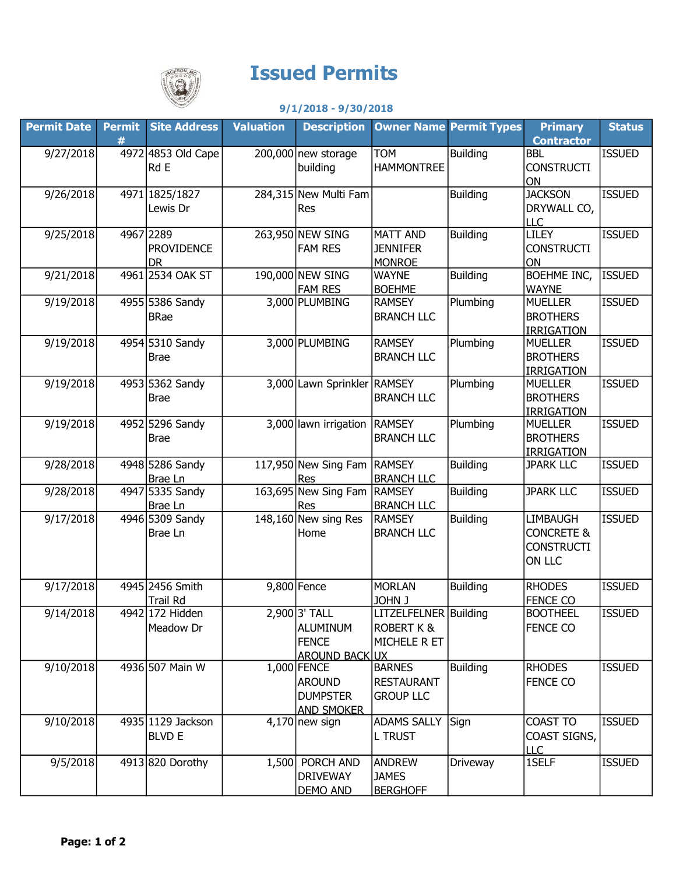

## Issued Permits

## 9/1/2018 - 9/30/2018

| <b>Contractor</b><br>#<br>9/27/2018<br>4972 4853 Old Cape<br><b>TOM</b><br><b>Building</b><br><b>ISSUED</b><br>$200,000$ new storage<br><b>BBL</b><br>Rd E<br>building<br><b>HAMMONTREE</b><br><b>CONSTRUCTI</b><br>ON<br>9/26/2018<br><b>JACKSON</b><br><b>ISSUED</b><br>4971 1825/1827<br>284,315 New Multi Fam<br>Building<br>DRYWALL CO,<br>Lewis Dr<br>Res<br><b>LLC</b><br>9/25/2018<br>4967 2289<br><b>LILEY</b><br><b>ISSUED</b><br>263,950 NEW SING<br><b>Building</b><br><b>MATT AND</b><br><b>FAM RES</b><br><b>PROVIDENCE</b><br><b>JENNIFER</b><br><b>CONSTRUCTI</b><br><b>MONROE</b><br><b>DR</b><br>ON<br>190,000 NEW SING<br><b>BOEHME INC,</b><br>9/21/2018<br>4961 2534 OAK ST<br><b>Building</b><br><b>ISSUED</b><br><b>WAYNE</b><br><b>FAM RES</b><br><b>BOEHME</b><br><b>WAYNE</b><br>3,000 PLUMBING<br>Plumbing<br><b>ISSUED</b><br>9/19/2018<br>4955 5386 Sandy<br><b>MUELLER</b><br><b>RAMSEY</b><br><b>BRANCH LLC</b><br><b>BROTHERS</b><br><b>BRae</b><br><b>IRRIGATION</b><br>9/19/2018<br>4954 5310 Sandy<br>3,000 PLUMBING<br><b>ISSUED</b><br><b>RAMSEY</b><br>Plumbing<br><b>MUELLER</b><br><b>BROTHERS</b><br><b>BRANCH LLC</b><br><b>Brae</b><br><b>IRRIGATION</b><br>4953 5362 Sandy<br>3,000 Lawn Sprinkler RAMSEY<br>9/19/2018<br>Plumbing<br><b>ISSUED</b><br><b>MUELLER</b><br><b>BRANCH LLC</b><br><b>BROTHERS</b><br><b>Brae</b><br><b>IRRIGATION</b><br>4952 5296 Sandy<br>3,000 lawn irrigation RAMSEY<br>Plumbing<br>9/19/2018<br><b>MUELLER</b><br><b>ISSUED</b><br><b>BROTHERS</b><br><b>BRANCH LLC</b><br><b>Brae</b><br><b>IRRIGATION</b><br>117,950 New Sing Fam RAMSEY<br>9/28/2018<br>4948 5286 Sandy<br><b>Building</b><br><b>ISSUED</b><br><b>JPARK LLC</b><br><b>BRANCH LLC</b><br>Brae Ln<br>Res<br>4947 5335 Sandy<br>163,695 New Sing Fam<br>9/28/2018<br><b>RAMSEY</b><br><b>ISSUED</b><br><b>Building</b><br><b>JPARK LLC</b><br><b>BRANCH LLC</b><br>Brae Ln<br>Res<br>148,160 New sing Res<br>9/17/2018<br>4946 5309 Sandy<br><b>Building</b><br><b>LIMBAUGH</b><br><b>ISSUED</b><br><b>RAMSEY</b><br><b>BRANCH LLC</b><br><b>CONCRETE &amp;</b><br>Brae Ln<br>Home<br><b>CONSTRUCTI</b><br>ON LLC<br><b>MORLAN</b><br>9/17/2018<br>4945 2456 Smith<br>$9,800$ Fence<br><b>Building</b><br><b>RHODES</b><br><b>ISSUED</b><br>JOHN J<br><b>FENCE CO</b><br>Trail Rd<br>2,900 3' TALL<br>LITZELFELNER Building<br>4942 172 Hidden<br>9/14/2018<br><b>ISSUED</b><br><b>BOOTHEEL</b><br><b>ALUMINUM</b><br><b>ROBERT K &amp;</b><br><b>FENCE CO</b><br>Meadow Dr<br><b>FENCE</b><br>MICHELE R ET<br><b>AROUND BACK UX</b><br>9/10/2018<br>4936 507 Main W<br><b>BARNES</b><br><b>Building</b><br><b>ISSUED</b><br>$1,000$ FENCE<br><b>RHODES</b><br><b>AROUND</b><br><b>RESTAURANT</b><br><b>FENCE CO</b><br><b>DUMPSTER</b><br><b>GROUP LLC</b><br><b>AND SMOKER</b><br>4935 1129 Jackson<br><b>ADAMS SALLY</b><br>COAST TO<br>9/10/2018<br>Sign<br><b>ISSUED</b><br>$4,170$ new sign<br><b>BLVD E</b><br><b>L TRUST</b><br>COAST SIGNS,<br>LLC<br>9/5/2018<br>4913 820 Dorothy<br>1SELF<br><b>ISSUED</b><br>1,500 PORCH AND<br><b>ANDREW</b><br>Driveway<br><b>DRIVEWAY</b><br><b>JAMES</b><br>DEMO AND<br><b>BERGHOFF</b> | <b>Permit Date</b> | <b>Permit</b> | <b>Site Address</b> | <b>Valuation</b> | <b>Description</b> | <b>Owner Name Permit Types</b> | <b>Primary</b> | <b>Status</b> |
|--------------------------------------------------------------------------------------------------------------------------------------------------------------------------------------------------------------------------------------------------------------------------------------------------------------------------------------------------------------------------------------------------------------------------------------------------------------------------------------------------------------------------------------------------------------------------------------------------------------------------------------------------------------------------------------------------------------------------------------------------------------------------------------------------------------------------------------------------------------------------------------------------------------------------------------------------------------------------------------------------------------------------------------------------------------------------------------------------------------------------------------------------------------------------------------------------------------------------------------------------------------------------------------------------------------------------------------------------------------------------------------------------------------------------------------------------------------------------------------------------------------------------------------------------------------------------------------------------------------------------------------------------------------------------------------------------------------------------------------------------------------------------------------------------------------------------------------------------------------------------------------------------------------------------------------------------------------------------------------------------------------------------------------------------------------------------------------------------------------------------------------------------------------------------------------------------------------------------------------------------------------------------------------------------------------------------------------------------------------------------------------------------------------------------------------------------------------------------------------------------------------------------------------------------------------------------------------------------------------------------------------------------------------------------------------------------------------------------------------------------------------------------------------------------------------------------------------------------------------------------------------------------------------------------------------------------------------------------------------------------------------------------------------------------------------------------------------------------------------------------------------------------------------------------------------|--------------------|---------------|---------------------|------------------|--------------------|--------------------------------|----------------|---------------|
|                                                                                                                                                                                                                                                                                                                                                                                                                                                                                                                                                                                                                                                                                                                                                                                                                                                                                                                                                                                                                                                                                                                                                                                                                                                                                                                                                                                                                                                                                                                                                                                                                                                                                                                                                                                                                                                                                                                                                                                                                                                                                                                                                                                                                                                                                                                                                                                                                                                                                                                                                                                                                                                                                                                                                                                                                                                                                                                                                                                                                                                                                                                                                                                      |                    |               |                     |                  |                    |                                |                |               |
|                                                                                                                                                                                                                                                                                                                                                                                                                                                                                                                                                                                                                                                                                                                                                                                                                                                                                                                                                                                                                                                                                                                                                                                                                                                                                                                                                                                                                                                                                                                                                                                                                                                                                                                                                                                                                                                                                                                                                                                                                                                                                                                                                                                                                                                                                                                                                                                                                                                                                                                                                                                                                                                                                                                                                                                                                                                                                                                                                                                                                                                                                                                                                                                      |                    |               |                     |                  |                    |                                |                |               |
|                                                                                                                                                                                                                                                                                                                                                                                                                                                                                                                                                                                                                                                                                                                                                                                                                                                                                                                                                                                                                                                                                                                                                                                                                                                                                                                                                                                                                                                                                                                                                                                                                                                                                                                                                                                                                                                                                                                                                                                                                                                                                                                                                                                                                                                                                                                                                                                                                                                                                                                                                                                                                                                                                                                                                                                                                                                                                                                                                                                                                                                                                                                                                                                      |                    |               |                     |                  |                    |                                |                |               |
|                                                                                                                                                                                                                                                                                                                                                                                                                                                                                                                                                                                                                                                                                                                                                                                                                                                                                                                                                                                                                                                                                                                                                                                                                                                                                                                                                                                                                                                                                                                                                                                                                                                                                                                                                                                                                                                                                                                                                                                                                                                                                                                                                                                                                                                                                                                                                                                                                                                                                                                                                                                                                                                                                                                                                                                                                                                                                                                                                                                                                                                                                                                                                                                      |                    |               |                     |                  |                    |                                |                |               |
|                                                                                                                                                                                                                                                                                                                                                                                                                                                                                                                                                                                                                                                                                                                                                                                                                                                                                                                                                                                                                                                                                                                                                                                                                                                                                                                                                                                                                                                                                                                                                                                                                                                                                                                                                                                                                                                                                                                                                                                                                                                                                                                                                                                                                                                                                                                                                                                                                                                                                                                                                                                                                                                                                                                                                                                                                                                                                                                                                                                                                                                                                                                                                                                      |                    |               |                     |                  |                    |                                |                |               |
|                                                                                                                                                                                                                                                                                                                                                                                                                                                                                                                                                                                                                                                                                                                                                                                                                                                                                                                                                                                                                                                                                                                                                                                                                                                                                                                                                                                                                                                                                                                                                                                                                                                                                                                                                                                                                                                                                                                                                                                                                                                                                                                                                                                                                                                                                                                                                                                                                                                                                                                                                                                                                                                                                                                                                                                                                                                                                                                                                                                                                                                                                                                                                                                      |                    |               |                     |                  |                    |                                |                |               |
|                                                                                                                                                                                                                                                                                                                                                                                                                                                                                                                                                                                                                                                                                                                                                                                                                                                                                                                                                                                                                                                                                                                                                                                                                                                                                                                                                                                                                                                                                                                                                                                                                                                                                                                                                                                                                                                                                                                                                                                                                                                                                                                                                                                                                                                                                                                                                                                                                                                                                                                                                                                                                                                                                                                                                                                                                                                                                                                                                                                                                                                                                                                                                                                      |                    |               |                     |                  |                    |                                |                |               |
|                                                                                                                                                                                                                                                                                                                                                                                                                                                                                                                                                                                                                                                                                                                                                                                                                                                                                                                                                                                                                                                                                                                                                                                                                                                                                                                                                                                                                                                                                                                                                                                                                                                                                                                                                                                                                                                                                                                                                                                                                                                                                                                                                                                                                                                                                                                                                                                                                                                                                                                                                                                                                                                                                                                                                                                                                                                                                                                                                                                                                                                                                                                                                                                      |                    |               |                     |                  |                    |                                |                |               |
|                                                                                                                                                                                                                                                                                                                                                                                                                                                                                                                                                                                                                                                                                                                                                                                                                                                                                                                                                                                                                                                                                                                                                                                                                                                                                                                                                                                                                                                                                                                                                                                                                                                                                                                                                                                                                                                                                                                                                                                                                                                                                                                                                                                                                                                                                                                                                                                                                                                                                                                                                                                                                                                                                                                                                                                                                                                                                                                                                                                                                                                                                                                                                                                      |                    |               |                     |                  |                    |                                |                |               |
|                                                                                                                                                                                                                                                                                                                                                                                                                                                                                                                                                                                                                                                                                                                                                                                                                                                                                                                                                                                                                                                                                                                                                                                                                                                                                                                                                                                                                                                                                                                                                                                                                                                                                                                                                                                                                                                                                                                                                                                                                                                                                                                                                                                                                                                                                                                                                                                                                                                                                                                                                                                                                                                                                                                                                                                                                                                                                                                                                                                                                                                                                                                                                                                      |                    |               |                     |                  |                    |                                |                |               |
|                                                                                                                                                                                                                                                                                                                                                                                                                                                                                                                                                                                                                                                                                                                                                                                                                                                                                                                                                                                                                                                                                                                                                                                                                                                                                                                                                                                                                                                                                                                                                                                                                                                                                                                                                                                                                                                                                                                                                                                                                                                                                                                                                                                                                                                                                                                                                                                                                                                                                                                                                                                                                                                                                                                                                                                                                                                                                                                                                                                                                                                                                                                                                                                      |                    |               |                     |                  |                    |                                |                |               |
|                                                                                                                                                                                                                                                                                                                                                                                                                                                                                                                                                                                                                                                                                                                                                                                                                                                                                                                                                                                                                                                                                                                                                                                                                                                                                                                                                                                                                                                                                                                                                                                                                                                                                                                                                                                                                                                                                                                                                                                                                                                                                                                                                                                                                                                                                                                                                                                                                                                                                                                                                                                                                                                                                                                                                                                                                                                                                                                                                                                                                                                                                                                                                                                      |                    |               |                     |                  |                    |                                |                |               |
|                                                                                                                                                                                                                                                                                                                                                                                                                                                                                                                                                                                                                                                                                                                                                                                                                                                                                                                                                                                                                                                                                                                                                                                                                                                                                                                                                                                                                                                                                                                                                                                                                                                                                                                                                                                                                                                                                                                                                                                                                                                                                                                                                                                                                                                                                                                                                                                                                                                                                                                                                                                                                                                                                                                                                                                                                                                                                                                                                                                                                                                                                                                                                                                      |                    |               |                     |                  |                    |                                |                |               |
|                                                                                                                                                                                                                                                                                                                                                                                                                                                                                                                                                                                                                                                                                                                                                                                                                                                                                                                                                                                                                                                                                                                                                                                                                                                                                                                                                                                                                                                                                                                                                                                                                                                                                                                                                                                                                                                                                                                                                                                                                                                                                                                                                                                                                                                                                                                                                                                                                                                                                                                                                                                                                                                                                                                                                                                                                                                                                                                                                                                                                                                                                                                                                                                      |                    |               |                     |                  |                    |                                |                |               |
|                                                                                                                                                                                                                                                                                                                                                                                                                                                                                                                                                                                                                                                                                                                                                                                                                                                                                                                                                                                                                                                                                                                                                                                                                                                                                                                                                                                                                                                                                                                                                                                                                                                                                                                                                                                                                                                                                                                                                                                                                                                                                                                                                                                                                                                                                                                                                                                                                                                                                                                                                                                                                                                                                                                                                                                                                                                                                                                                                                                                                                                                                                                                                                                      |                    |               |                     |                  |                    |                                |                |               |
|                                                                                                                                                                                                                                                                                                                                                                                                                                                                                                                                                                                                                                                                                                                                                                                                                                                                                                                                                                                                                                                                                                                                                                                                                                                                                                                                                                                                                                                                                                                                                                                                                                                                                                                                                                                                                                                                                                                                                                                                                                                                                                                                                                                                                                                                                                                                                                                                                                                                                                                                                                                                                                                                                                                                                                                                                                                                                                                                                                                                                                                                                                                                                                                      |                    |               |                     |                  |                    |                                |                |               |
|                                                                                                                                                                                                                                                                                                                                                                                                                                                                                                                                                                                                                                                                                                                                                                                                                                                                                                                                                                                                                                                                                                                                                                                                                                                                                                                                                                                                                                                                                                                                                                                                                                                                                                                                                                                                                                                                                                                                                                                                                                                                                                                                                                                                                                                                                                                                                                                                                                                                                                                                                                                                                                                                                                                                                                                                                                                                                                                                                                                                                                                                                                                                                                                      |                    |               |                     |                  |                    |                                |                |               |
|                                                                                                                                                                                                                                                                                                                                                                                                                                                                                                                                                                                                                                                                                                                                                                                                                                                                                                                                                                                                                                                                                                                                                                                                                                                                                                                                                                                                                                                                                                                                                                                                                                                                                                                                                                                                                                                                                                                                                                                                                                                                                                                                                                                                                                                                                                                                                                                                                                                                                                                                                                                                                                                                                                                                                                                                                                                                                                                                                                                                                                                                                                                                                                                      |                    |               |                     |                  |                    |                                |                |               |
|                                                                                                                                                                                                                                                                                                                                                                                                                                                                                                                                                                                                                                                                                                                                                                                                                                                                                                                                                                                                                                                                                                                                                                                                                                                                                                                                                                                                                                                                                                                                                                                                                                                                                                                                                                                                                                                                                                                                                                                                                                                                                                                                                                                                                                                                                                                                                                                                                                                                                                                                                                                                                                                                                                                                                                                                                                                                                                                                                                                                                                                                                                                                                                                      |                    |               |                     |                  |                    |                                |                |               |
|                                                                                                                                                                                                                                                                                                                                                                                                                                                                                                                                                                                                                                                                                                                                                                                                                                                                                                                                                                                                                                                                                                                                                                                                                                                                                                                                                                                                                                                                                                                                                                                                                                                                                                                                                                                                                                                                                                                                                                                                                                                                                                                                                                                                                                                                                                                                                                                                                                                                                                                                                                                                                                                                                                                                                                                                                                                                                                                                                                                                                                                                                                                                                                                      |                    |               |                     |                  |                    |                                |                |               |
|                                                                                                                                                                                                                                                                                                                                                                                                                                                                                                                                                                                                                                                                                                                                                                                                                                                                                                                                                                                                                                                                                                                                                                                                                                                                                                                                                                                                                                                                                                                                                                                                                                                                                                                                                                                                                                                                                                                                                                                                                                                                                                                                                                                                                                                                                                                                                                                                                                                                                                                                                                                                                                                                                                                                                                                                                                                                                                                                                                                                                                                                                                                                                                                      |                    |               |                     |                  |                    |                                |                |               |
|                                                                                                                                                                                                                                                                                                                                                                                                                                                                                                                                                                                                                                                                                                                                                                                                                                                                                                                                                                                                                                                                                                                                                                                                                                                                                                                                                                                                                                                                                                                                                                                                                                                                                                                                                                                                                                                                                                                                                                                                                                                                                                                                                                                                                                                                                                                                                                                                                                                                                                                                                                                                                                                                                                                                                                                                                                                                                                                                                                                                                                                                                                                                                                                      |                    |               |                     |                  |                    |                                |                |               |
|                                                                                                                                                                                                                                                                                                                                                                                                                                                                                                                                                                                                                                                                                                                                                                                                                                                                                                                                                                                                                                                                                                                                                                                                                                                                                                                                                                                                                                                                                                                                                                                                                                                                                                                                                                                                                                                                                                                                                                                                                                                                                                                                                                                                                                                                                                                                                                                                                                                                                                                                                                                                                                                                                                                                                                                                                                                                                                                                                                                                                                                                                                                                                                                      |                    |               |                     |                  |                    |                                |                |               |
|                                                                                                                                                                                                                                                                                                                                                                                                                                                                                                                                                                                                                                                                                                                                                                                                                                                                                                                                                                                                                                                                                                                                                                                                                                                                                                                                                                                                                                                                                                                                                                                                                                                                                                                                                                                                                                                                                                                                                                                                                                                                                                                                                                                                                                                                                                                                                                                                                                                                                                                                                                                                                                                                                                                                                                                                                                                                                                                                                                                                                                                                                                                                                                                      |                    |               |                     |                  |                    |                                |                |               |
|                                                                                                                                                                                                                                                                                                                                                                                                                                                                                                                                                                                                                                                                                                                                                                                                                                                                                                                                                                                                                                                                                                                                                                                                                                                                                                                                                                                                                                                                                                                                                                                                                                                                                                                                                                                                                                                                                                                                                                                                                                                                                                                                                                                                                                                                                                                                                                                                                                                                                                                                                                                                                                                                                                                                                                                                                                                                                                                                                                                                                                                                                                                                                                                      |                    |               |                     |                  |                    |                                |                |               |
|                                                                                                                                                                                                                                                                                                                                                                                                                                                                                                                                                                                                                                                                                                                                                                                                                                                                                                                                                                                                                                                                                                                                                                                                                                                                                                                                                                                                                                                                                                                                                                                                                                                                                                                                                                                                                                                                                                                                                                                                                                                                                                                                                                                                                                                                                                                                                                                                                                                                                                                                                                                                                                                                                                                                                                                                                                                                                                                                                                                                                                                                                                                                                                                      |                    |               |                     |                  |                    |                                |                |               |
|                                                                                                                                                                                                                                                                                                                                                                                                                                                                                                                                                                                                                                                                                                                                                                                                                                                                                                                                                                                                                                                                                                                                                                                                                                                                                                                                                                                                                                                                                                                                                                                                                                                                                                                                                                                                                                                                                                                                                                                                                                                                                                                                                                                                                                                                                                                                                                                                                                                                                                                                                                                                                                                                                                                                                                                                                                                                                                                                                                                                                                                                                                                                                                                      |                    |               |                     |                  |                    |                                |                |               |
|                                                                                                                                                                                                                                                                                                                                                                                                                                                                                                                                                                                                                                                                                                                                                                                                                                                                                                                                                                                                                                                                                                                                                                                                                                                                                                                                                                                                                                                                                                                                                                                                                                                                                                                                                                                                                                                                                                                                                                                                                                                                                                                                                                                                                                                                                                                                                                                                                                                                                                                                                                                                                                                                                                                                                                                                                                                                                                                                                                                                                                                                                                                                                                                      |                    |               |                     |                  |                    |                                |                |               |
|                                                                                                                                                                                                                                                                                                                                                                                                                                                                                                                                                                                                                                                                                                                                                                                                                                                                                                                                                                                                                                                                                                                                                                                                                                                                                                                                                                                                                                                                                                                                                                                                                                                                                                                                                                                                                                                                                                                                                                                                                                                                                                                                                                                                                                                                                                                                                                                                                                                                                                                                                                                                                                                                                                                                                                                                                                                                                                                                                                                                                                                                                                                                                                                      |                    |               |                     |                  |                    |                                |                |               |
|                                                                                                                                                                                                                                                                                                                                                                                                                                                                                                                                                                                                                                                                                                                                                                                                                                                                                                                                                                                                                                                                                                                                                                                                                                                                                                                                                                                                                                                                                                                                                                                                                                                                                                                                                                                                                                                                                                                                                                                                                                                                                                                                                                                                                                                                                                                                                                                                                                                                                                                                                                                                                                                                                                                                                                                                                                                                                                                                                                                                                                                                                                                                                                                      |                    |               |                     |                  |                    |                                |                |               |
|                                                                                                                                                                                                                                                                                                                                                                                                                                                                                                                                                                                                                                                                                                                                                                                                                                                                                                                                                                                                                                                                                                                                                                                                                                                                                                                                                                                                                                                                                                                                                                                                                                                                                                                                                                                                                                                                                                                                                                                                                                                                                                                                                                                                                                                                                                                                                                                                                                                                                                                                                                                                                                                                                                                                                                                                                                                                                                                                                                                                                                                                                                                                                                                      |                    |               |                     |                  |                    |                                |                |               |
|                                                                                                                                                                                                                                                                                                                                                                                                                                                                                                                                                                                                                                                                                                                                                                                                                                                                                                                                                                                                                                                                                                                                                                                                                                                                                                                                                                                                                                                                                                                                                                                                                                                                                                                                                                                                                                                                                                                                                                                                                                                                                                                                                                                                                                                                                                                                                                                                                                                                                                                                                                                                                                                                                                                                                                                                                                                                                                                                                                                                                                                                                                                                                                                      |                    |               |                     |                  |                    |                                |                |               |
|                                                                                                                                                                                                                                                                                                                                                                                                                                                                                                                                                                                                                                                                                                                                                                                                                                                                                                                                                                                                                                                                                                                                                                                                                                                                                                                                                                                                                                                                                                                                                                                                                                                                                                                                                                                                                                                                                                                                                                                                                                                                                                                                                                                                                                                                                                                                                                                                                                                                                                                                                                                                                                                                                                                                                                                                                                                                                                                                                                                                                                                                                                                                                                                      |                    |               |                     |                  |                    |                                |                |               |
|                                                                                                                                                                                                                                                                                                                                                                                                                                                                                                                                                                                                                                                                                                                                                                                                                                                                                                                                                                                                                                                                                                                                                                                                                                                                                                                                                                                                                                                                                                                                                                                                                                                                                                                                                                                                                                                                                                                                                                                                                                                                                                                                                                                                                                                                                                                                                                                                                                                                                                                                                                                                                                                                                                                                                                                                                                                                                                                                                                                                                                                                                                                                                                                      |                    |               |                     |                  |                    |                                |                |               |
|                                                                                                                                                                                                                                                                                                                                                                                                                                                                                                                                                                                                                                                                                                                                                                                                                                                                                                                                                                                                                                                                                                                                                                                                                                                                                                                                                                                                                                                                                                                                                                                                                                                                                                                                                                                                                                                                                                                                                                                                                                                                                                                                                                                                                                                                                                                                                                                                                                                                                                                                                                                                                                                                                                                                                                                                                                                                                                                                                                                                                                                                                                                                                                                      |                    |               |                     |                  |                    |                                |                |               |
|                                                                                                                                                                                                                                                                                                                                                                                                                                                                                                                                                                                                                                                                                                                                                                                                                                                                                                                                                                                                                                                                                                                                                                                                                                                                                                                                                                                                                                                                                                                                                                                                                                                                                                                                                                                                                                                                                                                                                                                                                                                                                                                                                                                                                                                                                                                                                                                                                                                                                                                                                                                                                                                                                                                                                                                                                                                                                                                                                                                                                                                                                                                                                                                      |                    |               |                     |                  |                    |                                |                |               |
|                                                                                                                                                                                                                                                                                                                                                                                                                                                                                                                                                                                                                                                                                                                                                                                                                                                                                                                                                                                                                                                                                                                                                                                                                                                                                                                                                                                                                                                                                                                                                                                                                                                                                                                                                                                                                                                                                                                                                                                                                                                                                                                                                                                                                                                                                                                                                                                                                                                                                                                                                                                                                                                                                                                                                                                                                                                                                                                                                                                                                                                                                                                                                                                      |                    |               |                     |                  |                    |                                |                |               |
|                                                                                                                                                                                                                                                                                                                                                                                                                                                                                                                                                                                                                                                                                                                                                                                                                                                                                                                                                                                                                                                                                                                                                                                                                                                                                                                                                                                                                                                                                                                                                                                                                                                                                                                                                                                                                                                                                                                                                                                                                                                                                                                                                                                                                                                                                                                                                                                                                                                                                                                                                                                                                                                                                                                                                                                                                                                                                                                                                                                                                                                                                                                                                                                      |                    |               |                     |                  |                    |                                |                |               |
|                                                                                                                                                                                                                                                                                                                                                                                                                                                                                                                                                                                                                                                                                                                                                                                                                                                                                                                                                                                                                                                                                                                                                                                                                                                                                                                                                                                                                                                                                                                                                                                                                                                                                                                                                                                                                                                                                                                                                                                                                                                                                                                                                                                                                                                                                                                                                                                                                                                                                                                                                                                                                                                                                                                                                                                                                                                                                                                                                                                                                                                                                                                                                                                      |                    |               |                     |                  |                    |                                |                |               |
|                                                                                                                                                                                                                                                                                                                                                                                                                                                                                                                                                                                                                                                                                                                                                                                                                                                                                                                                                                                                                                                                                                                                                                                                                                                                                                                                                                                                                                                                                                                                                                                                                                                                                                                                                                                                                                                                                                                                                                                                                                                                                                                                                                                                                                                                                                                                                                                                                                                                                                                                                                                                                                                                                                                                                                                                                                                                                                                                                                                                                                                                                                                                                                                      |                    |               |                     |                  |                    |                                |                |               |
|                                                                                                                                                                                                                                                                                                                                                                                                                                                                                                                                                                                                                                                                                                                                                                                                                                                                                                                                                                                                                                                                                                                                                                                                                                                                                                                                                                                                                                                                                                                                                                                                                                                                                                                                                                                                                                                                                                                                                                                                                                                                                                                                                                                                                                                                                                                                                                                                                                                                                                                                                                                                                                                                                                                                                                                                                                                                                                                                                                                                                                                                                                                                                                                      |                    |               |                     |                  |                    |                                |                |               |
|                                                                                                                                                                                                                                                                                                                                                                                                                                                                                                                                                                                                                                                                                                                                                                                                                                                                                                                                                                                                                                                                                                                                                                                                                                                                                                                                                                                                                                                                                                                                                                                                                                                                                                                                                                                                                                                                                                                                                                                                                                                                                                                                                                                                                                                                                                                                                                                                                                                                                                                                                                                                                                                                                                                                                                                                                                                                                                                                                                                                                                                                                                                                                                                      |                    |               |                     |                  |                    |                                |                |               |
|                                                                                                                                                                                                                                                                                                                                                                                                                                                                                                                                                                                                                                                                                                                                                                                                                                                                                                                                                                                                                                                                                                                                                                                                                                                                                                                                                                                                                                                                                                                                                                                                                                                                                                                                                                                                                                                                                                                                                                                                                                                                                                                                                                                                                                                                                                                                                                                                                                                                                                                                                                                                                                                                                                                                                                                                                                                                                                                                                                                                                                                                                                                                                                                      |                    |               |                     |                  |                    |                                |                |               |
|                                                                                                                                                                                                                                                                                                                                                                                                                                                                                                                                                                                                                                                                                                                                                                                                                                                                                                                                                                                                                                                                                                                                                                                                                                                                                                                                                                                                                                                                                                                                                                                                                                                                                                                                                                                                                                                                                                                                                                                                                                                                                                                                                                                                                                                                                                                                                                                                                                                                                                                                                                                                                                                                                                                                                                                                                                                                                                                                                                                                                                                                                                                                                                                      |                    |               |                     |                  |                    |                                |                |               |
|                                                                                                                                                                                                                                                                                                                                                                                                                                                                                                                                                                                                                                                                                                                                                                                                                                                                                                                                                                                                                                                                                                                                                                                                                                                                                                                                                                                                                                                                                                                                                                                                                                                                                                                                                                                                                                                                                                                                                                                                                                                                                                                                                                                                                                                                                                                                                                                                                                                                                                                                                                                                                                                                                                                                                                                                                                                                                                                                                                                                                                                                                                                                                                                      |                    |               |                     |                  |                    |                                |                |               |
|                                                                                                                                                                                                                                                                                                                                                                                                                                                                                                                                                                                                                                                                                                                                                                                                                                                                                                                                                                                                                                                                                                                                                                                                                                                                                                                                                                                                                                                                                                                                                                                                                                                                                                                                                                                                                                                                                                                                                                                                                                                                                                                                                                                                                                                                                                                                                                                                                                                                                                                                                                                                                                                                                                                                                                                                                                                                                                                                                                                                                                                                                                                                                                                      |                    |               |                     |                  |                    |                                |                |               |
|                                                                                                                                                                                                                                                                                                                                                                                                                                                                                                                                                                                                                                                                                                                                                                                                                                                                                                                                                                                                                                                                                                                                                                                                                                                                                                                                                                                                                                                                                                                                                                                                                                                                                                                                                                                                                                                                                                                                                                                                                                                                                                                                                                                                                                                                                                                                                                                                                                                                                                                                                                                                                                                                                                                                                                                                                                                                                                                                                                                                                                                                                                                                                                                      |                    |               |                     |                  |                    |                                |                |               |
|                                                                                                                                                                                                                                                                                                                                                                                                                                                                                                                                                                                                                                                                                                                                                                                                                                                                                                                                                                                                                                                                                                                                                                                                                                                                                                                                                                                                                                                                                                                                                                                                                                                                                                                                                                                                                                                                                                                                                                                                                                                                                                                                                                                                                                                                                                                                                                                                                                                                                                                                                                                                                                                                                                                                                                                                                                                                                                                                                                                                                                                                                                                                                                                      |                    |               |                     |                  |                    |                                |                |               |